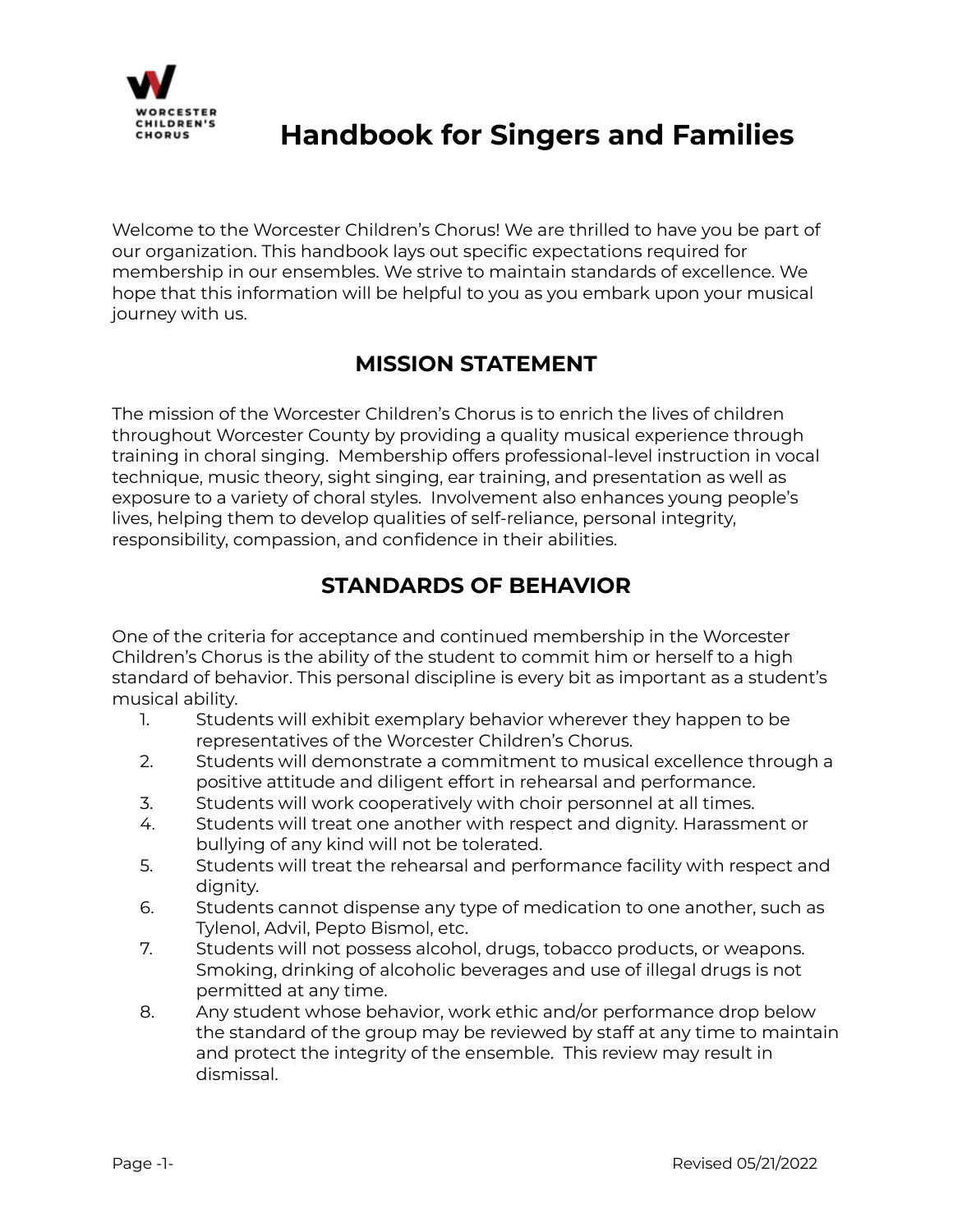

Welcome to the Worcester Children's Chorus! We are thrilled to have you be part of our organization. This handbook lays out specific expectations required for membership in our ensembles. We strive to maintain standards of excellence. We hope that this information will be helpful to you as you embark upon your musical journey with us.

## **MISSION STATEMENT**

The mission of the Worcester Children's Chorus is to enrich the lives of children throughout Worcester County by providing a quality musical experience through training in choral singing. Membership offers professional-level instruction in vocal technique, music theory, sight singing, ear training, and presentation as well as exposure to a variety of choral styles. Involvement also enhances young people's lives, helping them to develop qualities of self-reliance, personal integrity, responsibility, compassion, and confidence in their abilities.

## **STANDARDS OF BEHAVIOR**

One of the criteria for acceptance and continued membership in the Worcester Children's Chorus is the ability of the student to commit him or herself to a high standard of behavior. This personal discipline is every bit as important as a student's musical ability.

- 1. Students will exhibit exemplary behavior wherever they happen to be representatives of the Worcester Children's Chorus.
- 2. Students will demonstrate a commitment to musical excellence through a positive attitude and diligent effort in rehearsal and performance.
- 3. Students will work cooperatively with choir personnel at all times.
- 4. Students will treat one another with respect and dignity. Harassment or bullying of any kind will not be tolerated.
- 5. Students will treat the rehearsal and performance facility with respect and dignity.
- 6. Students cannot dispense any type of medication to one another, such as Tylenol, Advil, Pepto Bismol, etc.
- 7. Students will not possess alcohol, drugs, tobacco products, or weapons. Smoking, drinking of alcoholic beverages and use of illegal drugs is not permitted at any time.
- 8. Any student whose behavior, work ethic and/or performance drop below the standard of the group may be reviewed by staff at any time to maintain and protect the integrity of the ensemble. This review may result in dismissal.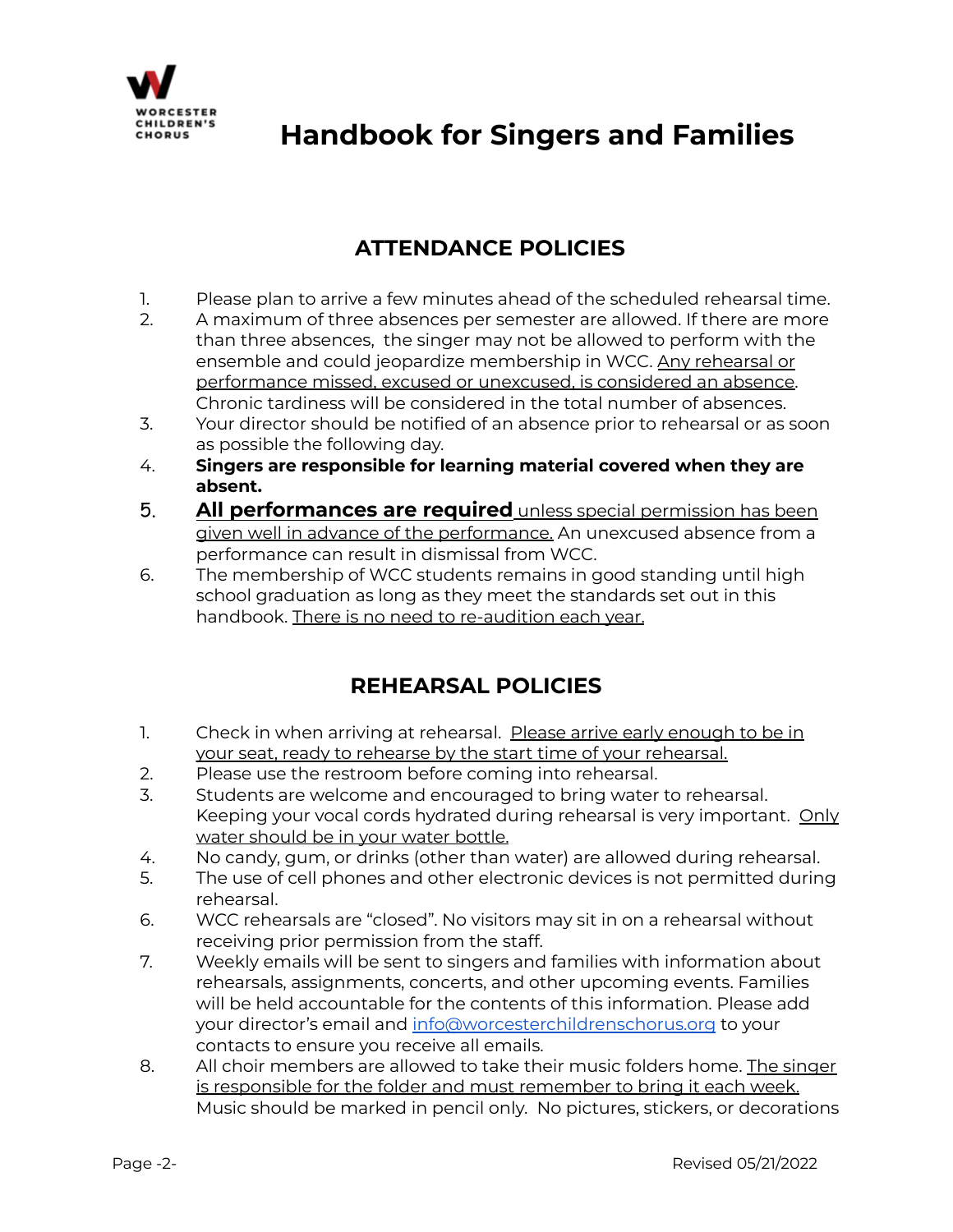

## **ATTENDANCE POLICIES**

- 1. Please plan to arrive a few minutes ahead of the scheduled rehearsal time.
- 2. A maximum of three absences per semester are allowed. If there are more than three absences, the singer may not be allowed to perform with the ensemble and could jeopardize membership in WCC. Any rehearsal or performance missed, excused or unexcused, is considered an absence. Chronic tardiness will be considered in the total number of absences.
- 3. Your director should be notified of an absence prior to rehearsal or as soon as possible the following day.
- 4. **Singers are responsible for learning material covered when they are absent.**
- 5. **All performances are required** unless special permission has been given well in advance of the performance. An unexcused absence from a performance can result in dismissal from WCC.
- 6. The membership of WCC students remains in good standing until high school graduation as long as they meet the standards set out in this handbook. There is no need to re-audition each year.

## **REHEARSAL POLICIES**

- 1. Check in when arriving at rehearsal. Please arrive early enough to be in your seat, ready to rehearse by the start time of your rehearsal.
- 2. Please use the restroom before coming into rehearsal.
- 3. Students are welcome and encouraged to bring water to rehearsal. Keeping your vocal cords hydrated during rehearsal is very important. Only water should be in your water bottle.
- 4. No candy, gum, or drinks (other than water) are allowed during rehearsal.
- 5. The use of cell phones and other electronic devices is not permitted during rehearsal.
- 6. WCC rehearsals are "closed". No visitors may sit in on a rehearsal without receiving prior permission from the staff.
- 7. Weekly emails will be sent to singers and families with information about rehearsals, assignments, concerts, and other upcoming events. Families will be held accountable for the contents of this information. Please add your director's email and [info@worcesterchildrenschorus.org](mailto:info@worcesterchildrenschorus.org) to your contacts to ensure you receive all emails.
- 8. All choir members are allowed to take their music folders home. The singer is responsible for the folder and must remember to bring it each week. Music should be marked in pencil only. No pictures, stickers, or decorations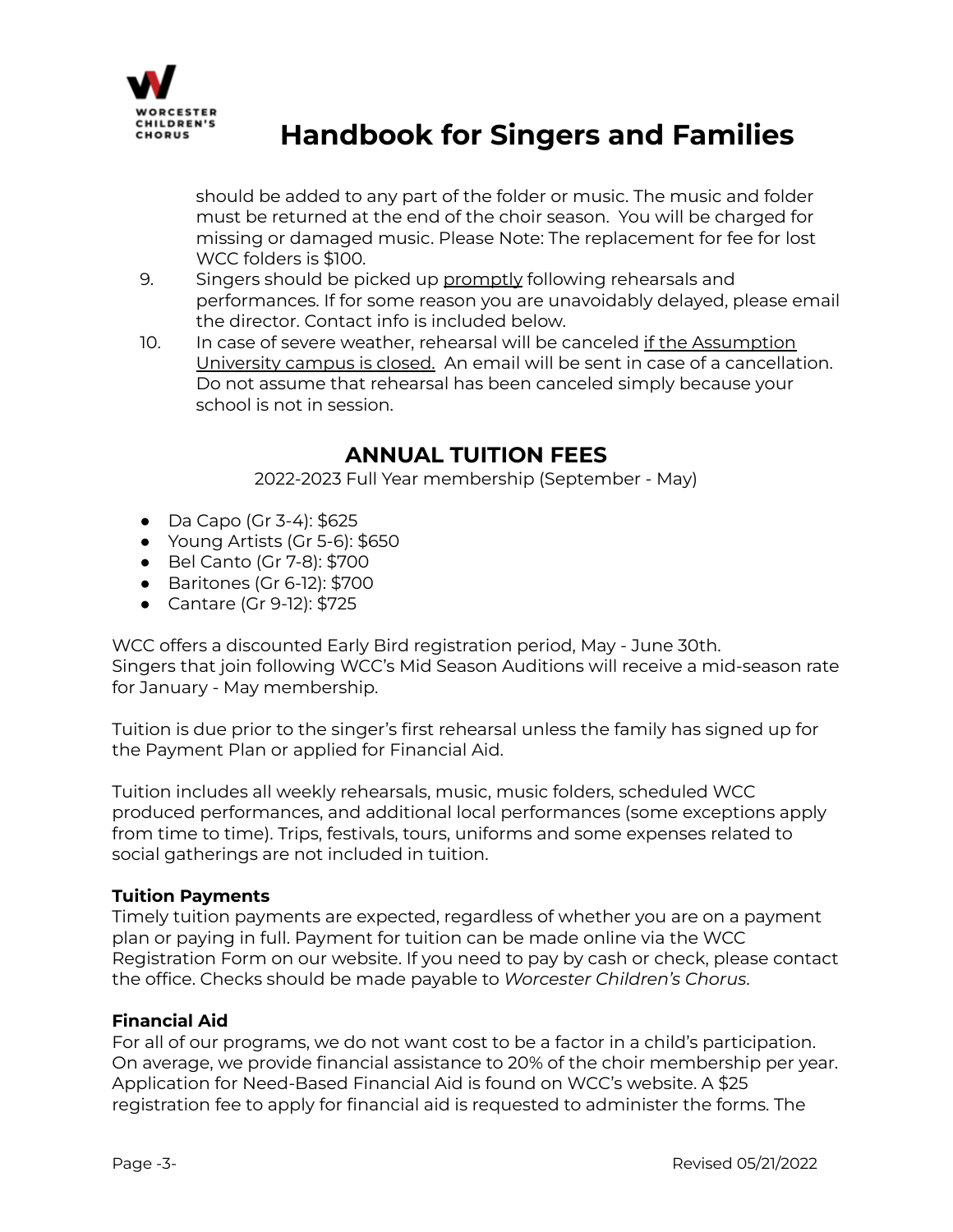

should be added to any part of the folder or music. The music and folder must be returned at the end of the choir season. You will be charged for missing or damaged music. Please Note: The replacement for fee for lost WCC folders is \$100.

- 9. Singers should be picked up promptly following rehearsals and performances. If for some reason you are unavoidably delayed, please email the director. Contact info is included below.
- 10. In case of severe weather, rehearsal will be canceled if the Assumption University campus is closed. An email will be sent in case of a cancellation. Do not assume that rehearsal has been canceled simply because your school is not in session.

## **ANNUAL TUITION FEES**

2022-2023 Full Year membership (September - May)

- Da Capo (Gr 3-4): \$625
- Young Artists (Gr 5-6): \$650
- Bel Canto (Gr 7-8): \$700
- Baritones (Gr 6-12): \$700
- Cantare (Gr 9-12): \$725

WCC offers a discounted Early Bird registration period, May - June 30th. Singers that join following WCC's Mid Season Auditions will receive a mid-season rate for January - May membership.

Tuition is due prior to the singer's first rehearsal unless the family has signed up for the Payment Plan or applied for Financial Aid.

Tuition includes all weekly rehearsals, music, music folders, scheduled WCC produced performances, and additional local performances (some exceptions apply from time to time). Trips, festivals, tours, uniforms and some expenses related to social gatherings are not included in tuition.

### **Tuition Payments**

Timely tuition payments are expected, regardless of whether you are on a payment plan or paying in full. Payment for tuition can be made online via the WCC Registration Form on our website. If you need to pay by cash or check, please contact the office. Checks should be made payable to *Worcester Children's Chorus*.

### **Financial Aid**

For all of our programs, we do not want cost to be a factor in a child's participation. On average, we provide financial assistance to 20% of the choir membership per year. Application for Need-Based Financial Aid is found on WCC's website. A \$25 registration fee to apply for financial aid is requested to administer the forms. The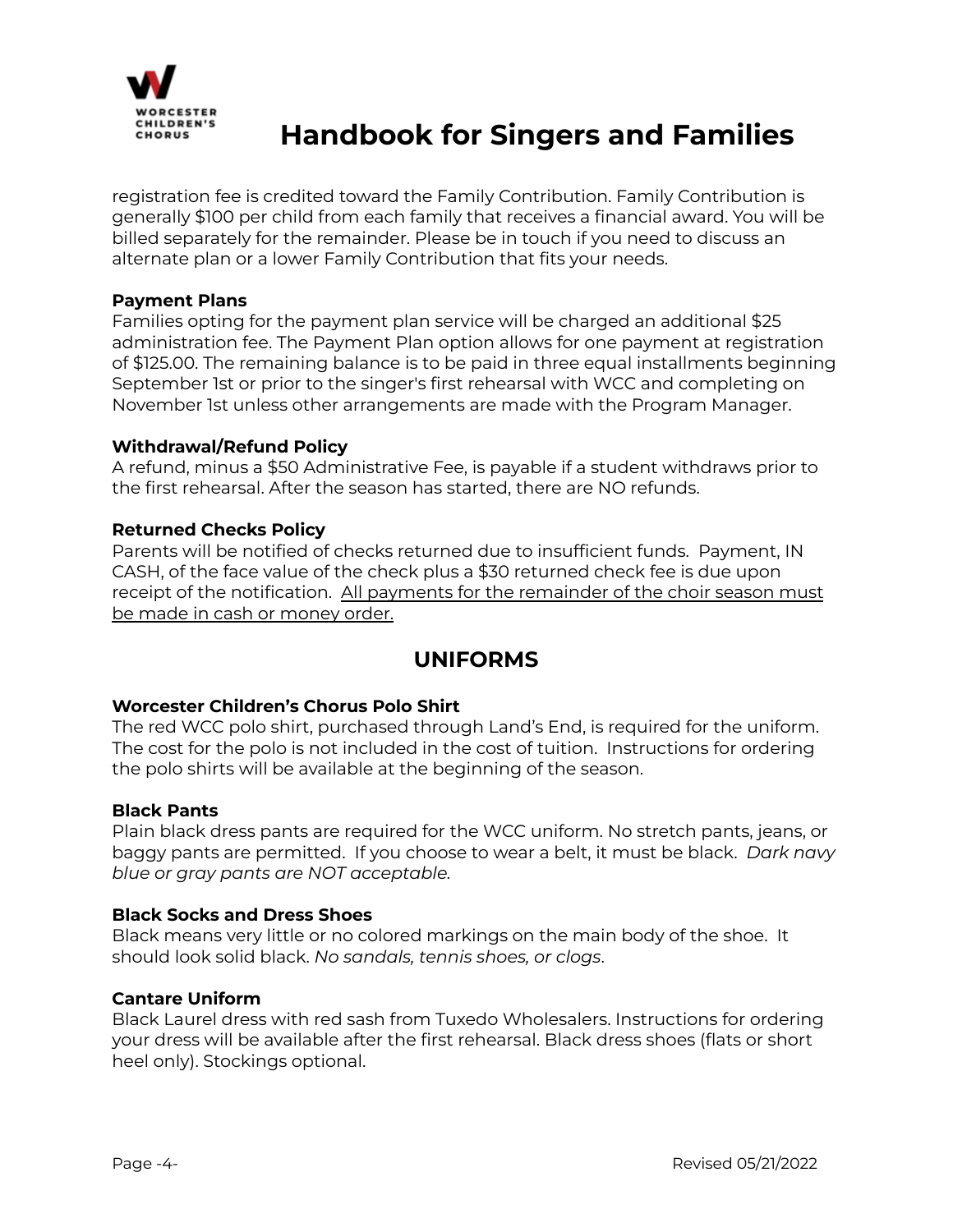

registration fee is credited toward the Family Contribution. Family Contribution is generally \$100 per child from each family that receives a financial award. You will be billed separately for the remainder. Please be in touch if you need to discuss an alternate plan or a lower Family Contribution that fits your needs.

#### **Payment Plans**

Families opting for the payment plan service will be charged an additional \$25 administration fee. The Payment Plan option allows for one payment at registration of \$125.00. The remaining balance is to be paid in three equal installments beginning September 1st or prior to the singer's first rehearsal with WCC and completing on November 1st unless other arrangements are made with the Program Manager.

#### **Withdrawal/Refund Policy**

A refund, minus a \$50 Administrative Fee, is payable if a student withdraws prior to the first rehearsal. After the season has started, there are NO refunds.

#### **Returned Checks Policy**

Parents will be notified of checks returned due to insufficient funds. Payment, IN CASH, of the face value of the check plus a \$30 returned check fee is due upon receipt of the notification. All payments for the remainder of the choir season must be made in cash or money order.

### **UNIFORMS**

#### **Worcester Children's Chorus Polo Shirt**

The red WCC polo shirt, purchased through Land's End, is required for the uniform. The cost for the polo is not included in the cost of tuition. Instructions for ordering the polo shirts will be available at the beginning of the season.

#### **Black Pants**

Plain black dress pants are required for the WCC uniform. No stretch pants, jeans, or baggy pants are permitted. If you choose to wear a belt, it must be black. *Dark navy blue or gray pants are NOT acceptable.*

#### **Black Socks and Dress Shoes**

Black means very little or no colored markings on the main body of the shoe. It should look solid black. *No sandals, tennis shoes, or clogs*.

#### **Cantare Uniform**

Black Laurel dress with red sash from Tuxedo Wholesalers. Instructions for ordering your dress will be available after the first rehearsal. Black dress shoes (flats or short heel only). Stockings optional.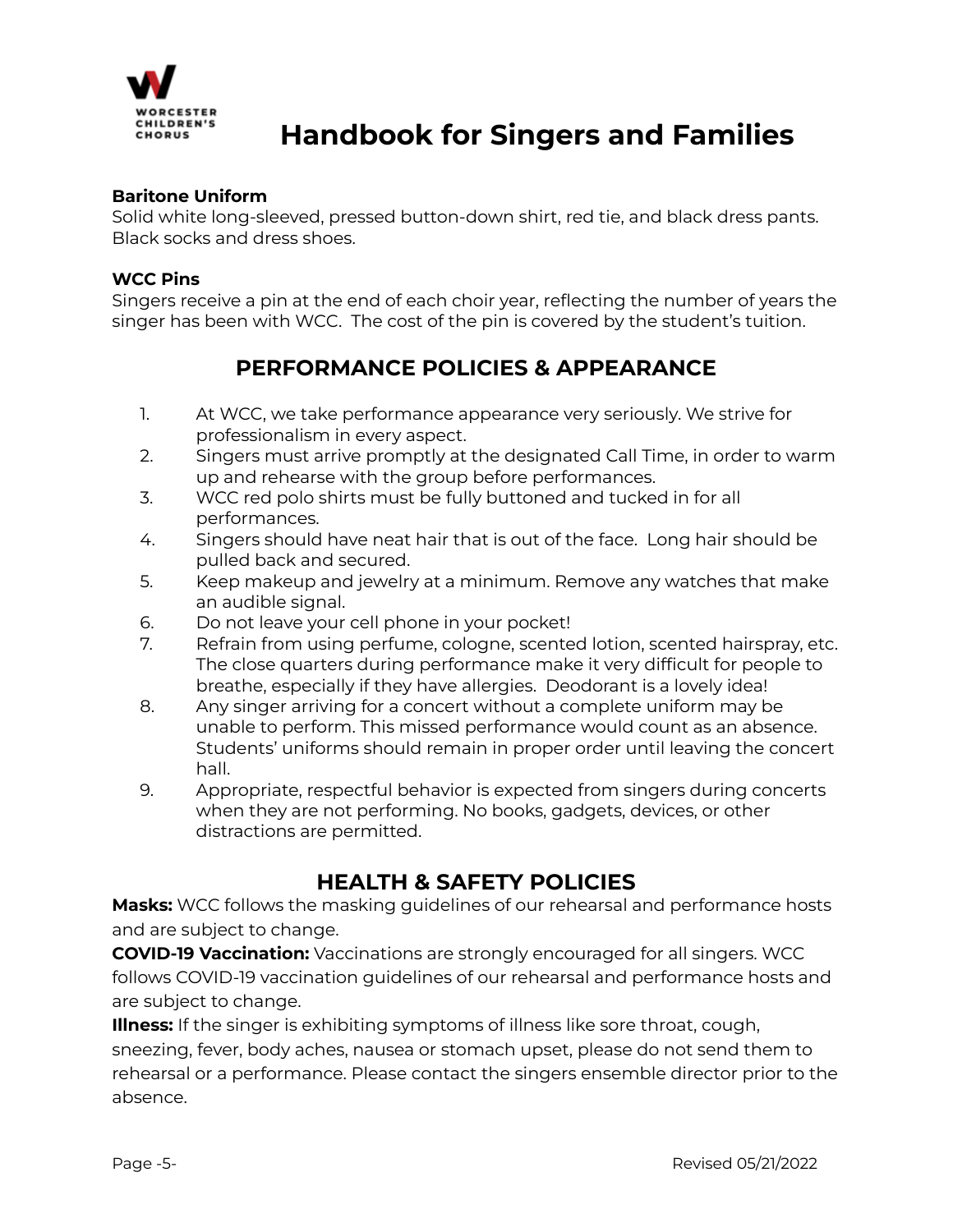

#### **Baritone Uniform**

Solid white long-sleeved, pressed button-down shirt, red tie, and black dress pants. Black socks and dress shoes.

#### **WCC Pins**

Singers receive a pin at the end of each choir year, reflecting the number of years the singer has been with WCC. The cost of the pin is covered by the student's tuition.

## **PERFORMANCE POLICIES & APPEARANCE**

- 1. At WCC, we take performance appearance very seriously. We strive for professionalism in every aspect.
- 2. Singers must arrive promptly at the designated Call Time, in order to warm up and rehearse with the group before performances.
- 3. WCC red polo shirts must be fully buttoned and tucked in for all performances.
- 4. Singers should have neat hair that is out of the face. Long hair should be pulled back and secured.
- 5. Keep makeup and jewelry at a minimum. Remove any watches that make an audible signal.
- 6. Do not leave your cell phone in your pocket!
- 7. Refrain from using perfume, cologne, scented lotion, scented hairspray, etc. The close quarters during performance make it very difficult for people to breathe, especially if they have allergies. Deodorant is a lovely idea!
- 8. Any singer arriving for a concert without a complete uniform may be unable to perform. This missed performance would count as an absence. Students' uniforms should remain in proper order until leaving the concert hall.
- 9. Appropriate, respectful behavior is expected from singers during concerts when they are not performing. No books, gadgets, devices, or other distractions are permitted.

## **HEALTH & SAFETY POLICIES**

**Masks:** WCC follows the masking guidelines of our rehearsal and performance hosts and are subject to change.

**COVID-19 Vaccination:** Vaccinations are strongly encouraged for all singers. WCC follows COVID-19 vaccination guidelines of our rehearsal and performance hosts and are subject to change.

**Illness:** If the singer is exhibiting symptoms of illness like sore throat, cough, sneezing, fever, body aches, nausea or stomach upset, please do not send them to rehearsal or a performance. Please contact the singers ensemble director prior to the absence.